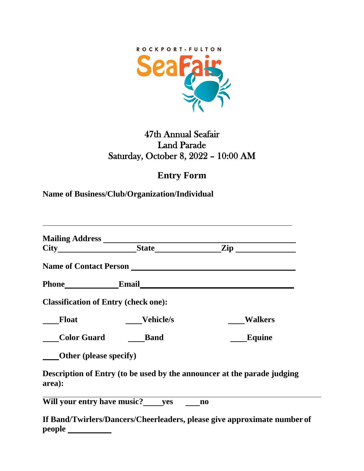

## 47th Annual Seafair Land Parade Saturday, October 8, 2022 – 10:00 AM

## **Entry Form**

**Name of Business/Club/Organization/Individual**

|                                             | Phone Email Email                  |                                                                          |
|---------------------------------------------|------------------------------------|--------------------------------------------------------------------------|
| <b>Classification of Entry (check one):</b> |                                    |                                                                          |
| <b>Float</b>                                | Vehicle/s                          | <b>Walkers</b>                                                           |
| Color Guard Band                            |                                    | <b>Equine</b>                                                            |
| <b>Other</b> (please specify)               |                                    |                                                                          |
| area):                                      |                                    | Description of Entry (to be used by the announcer at the parade judging  |
|                                             | Will your entry have music? yes no |                                                                          |
|                                             |                                    | If Band/Twirlers/Dancers/Cheerleaders, please give approximate number of |